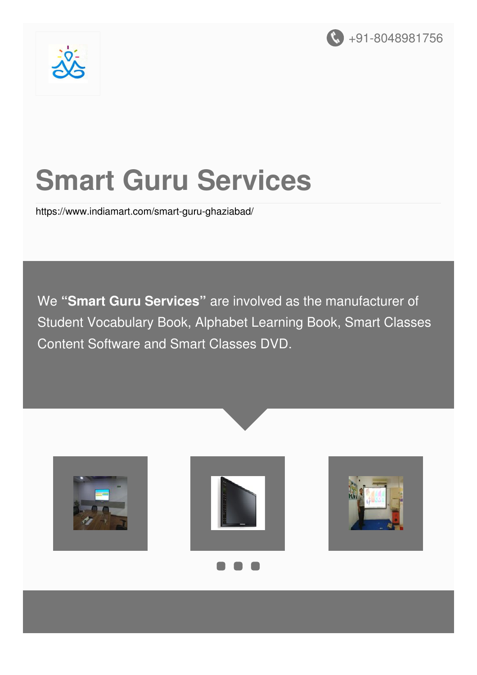



# **Smart Guru Services**

<https://www.indiamart.com/smart-guru-ghaziabad/>

We **"Smart Guru Services"** are involved as the manufacturer of Student Vocabulary Book, Alphabet Learning Book, Smart Classes Content Software and Smart Classes DVD.

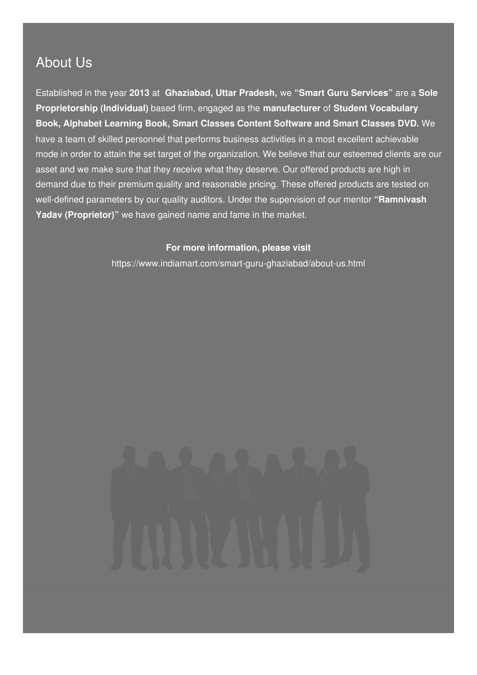### About Us

Established in the year **2013** at **Ghaziabad, Uttar Pradesh,** we **"Smart Guru Services"** are a **Sole Proprietorship (Individual)** based firm, engaged as the **manufacturer** of **Student Vocabulary Book, Alphabet Learning Book, Smart Classes Content Software and Smart Classes DVD.** We have a team of skilled personnel that performs business activities in a most excellent achievable mode in order to attain the set target of the organization. We believe that our esteemed clients are our asset and we make sure that they receive what they deserve. Our offered products are high in demand due to their premium quality and reasonable pricing. These offered products are tested on well-defined parameters by our quality auditors. Under the supervision of our mentor **"Ramnivash Yadav (Proprietor)"** we have gained name and fame in the market.

#### **For more information, please visit**

<https://www.indiamart.com/smart-guru-ghaziabad/about-us.html>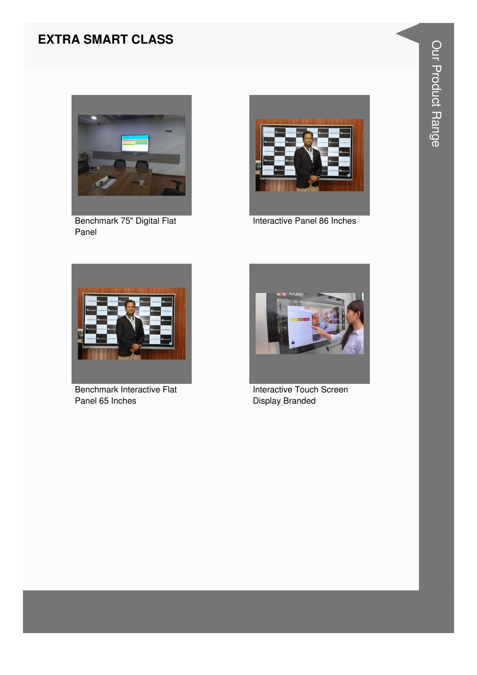#### **EXTRA SMART CLASS**



Benchmark 75" Digital Flat Panel



Interactive Panel 86 Inches



**Benchmark Interactive Flat** Panel 65 Inches



**Interactive Touch Screen** Display Branded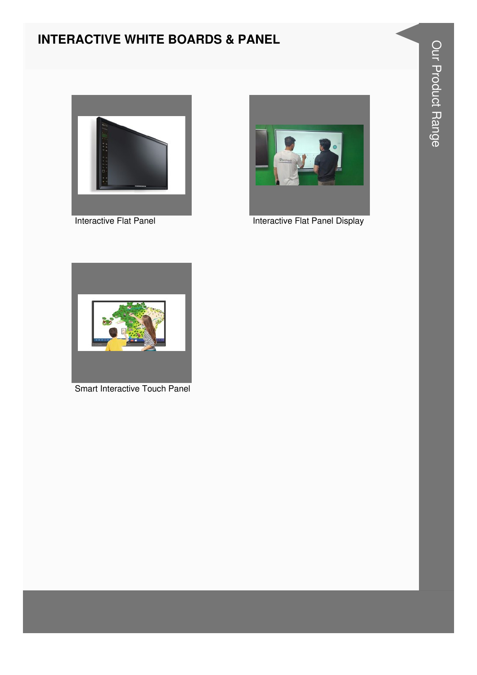#### **INTERACTIVE WHITE BOARDS & PANEL**





Interactive Flat Panel **Interactive Flat Panel Display** 



Smart Interactive Touch Panel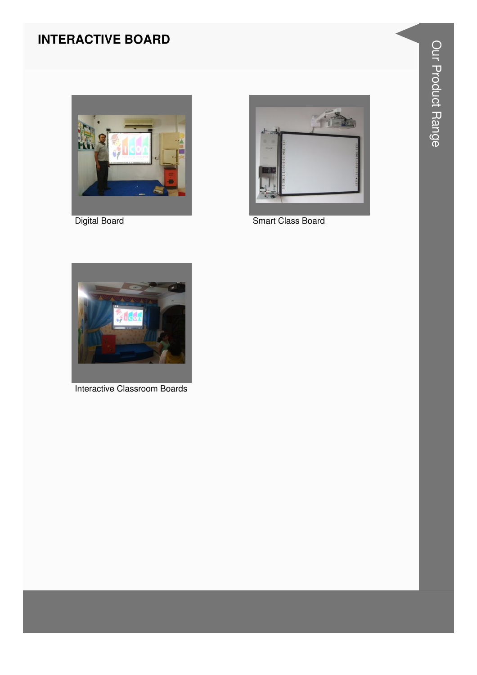#### **INTERACTIVE BOARD**



**Digital Board** 



Smart Class Board



Interactive Classroom Boards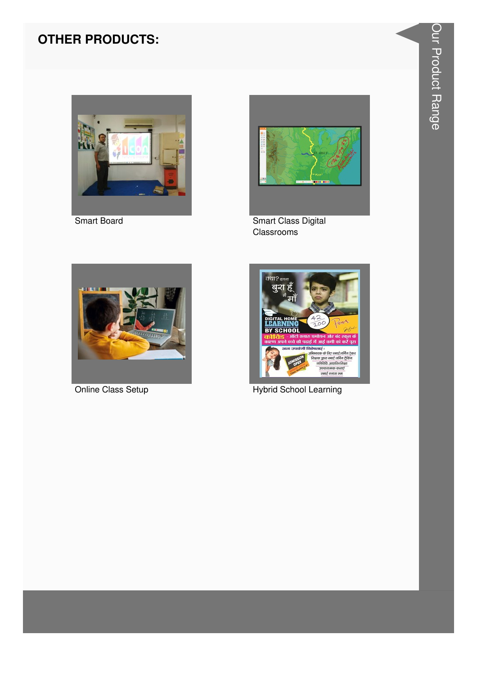

Smart Board



**Smart Class Digital** Classrooms



Online Class Setup



**Hybrid School Learning**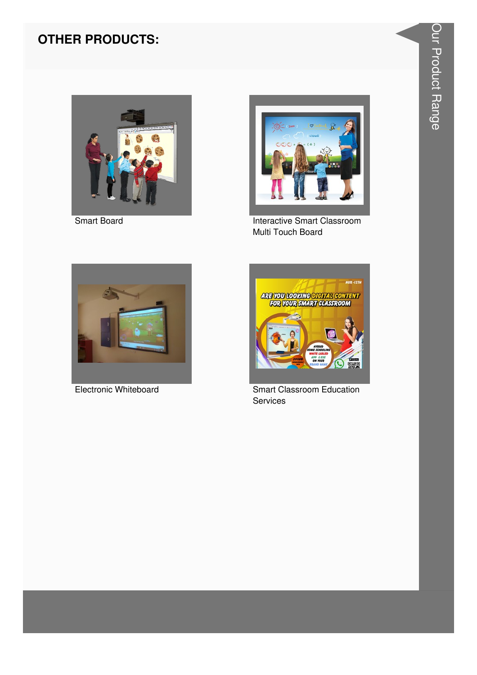

**Smart Board** 



**Interactive Smart Classroom** Multi Touch Board



**Electronic Whiteboard** 



**Smart Classroom Education** Services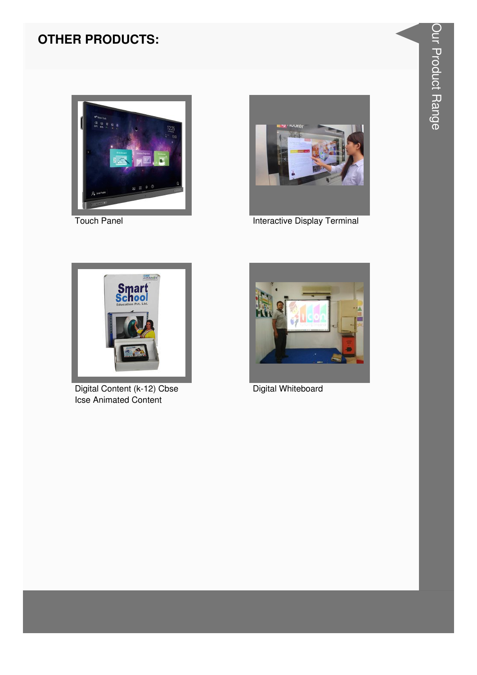

**Touch Panel** 



**Interactive Display Terminal** 



Digital Content (k-12) Cbse **Icse Animated Content** 



Digital Whiteboard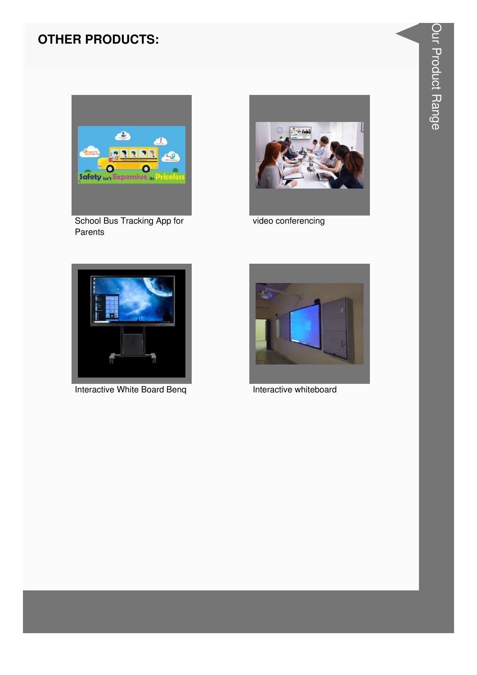

School Bus Tracking App for Parents



video conferencing



Interactive White Board Beng



Interactive whiteboard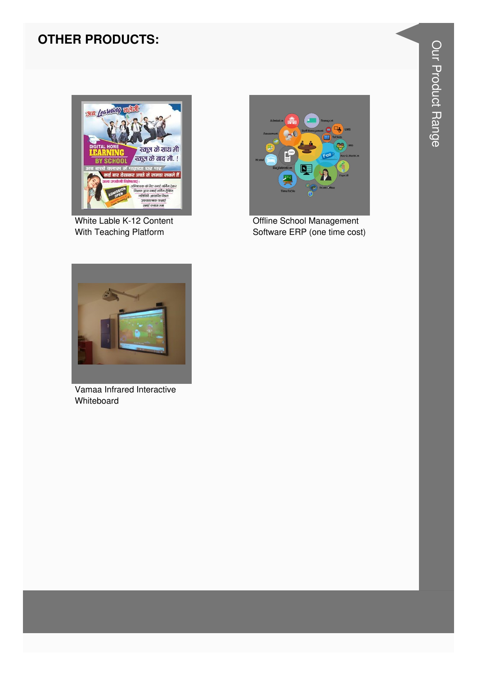

White Lable K-12 Content With Teaching Platform



Offline School Management Software ERP (one time cost)



Vamaa Infrared Interactive Whiteboard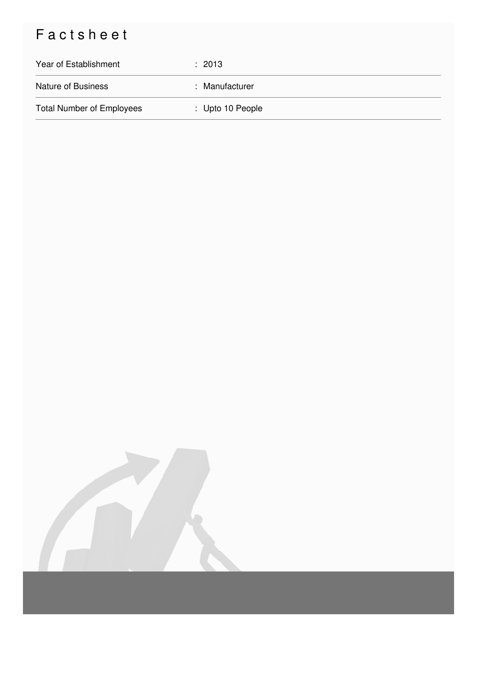## Factsheet

| Year of Establishment            | $\div$ 2013      |
|----------------------------------|------------------|
| <b>Nature of Business</b>        | : Manufacturer   |
| <b>Total Number of Employees</b> | : Upto 10 People |